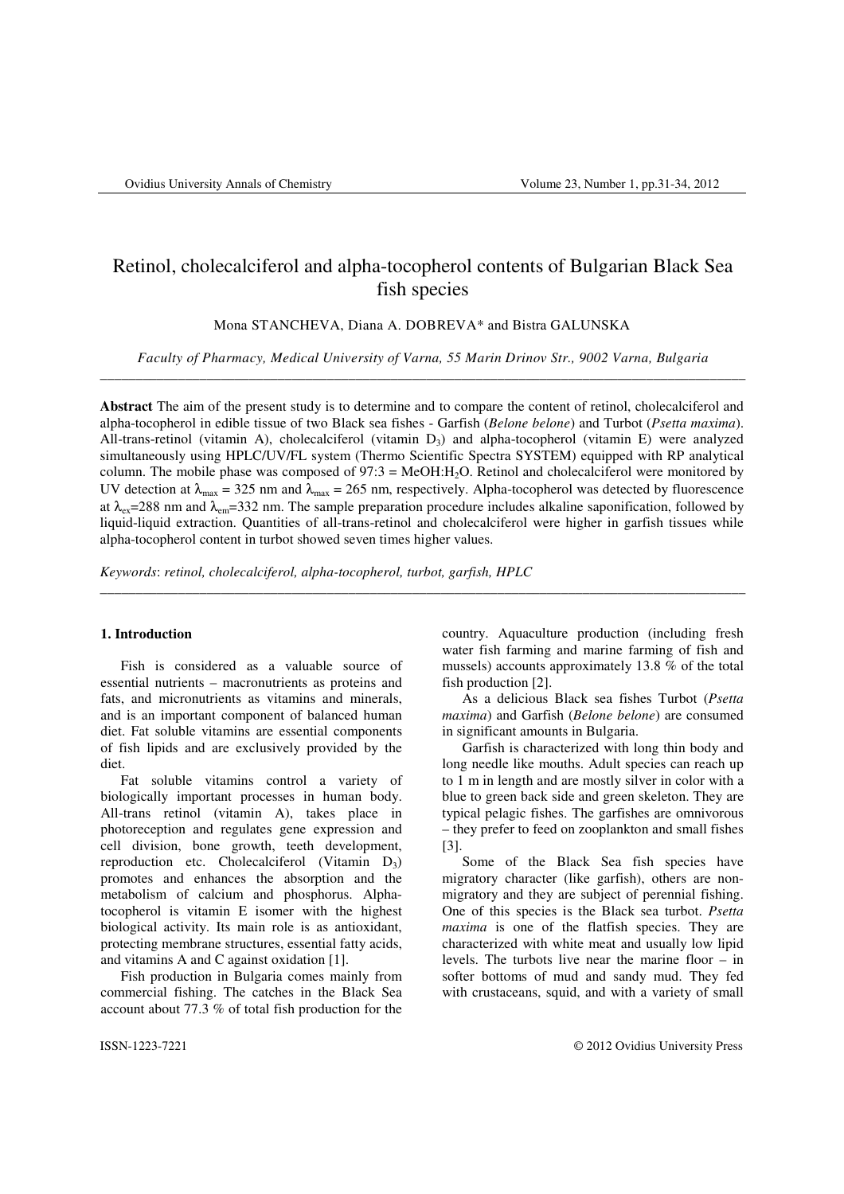# Retinol, cholecalciferol and alpha-tocopherol contents of Bulgarian Black Sea fish species

Mona STANCHEVA, Diana A. DOBREVA\* and Bistra GALUNSKA

*Faculty of Pharmacy, Medical University of Varna, 55 Marin Drinov Str., 9002 Varna, Bulgaria* \_\_\_\_\_\_\_\_\_\_\_\_\_\_\_\_\_\_\_\_\_\_\_\_\_\_\_\_\_\_\_\_\_\_\_\_\_\_\_\_\_\_\_\_\_\_\_\_\_\_\_\_\_\_\_\_\_\_\_\_\_\_\_\_\_\_\_\_\_\_\_\_\_\_\_\_\_\_\_\_\_\_\_\_\_\_\_\_\_\_\_

**Abstract** The aim of the present study is to determine and to compare the content of retinol, cholecalciferol and alpha-tocopherol in edible tissue of two Black sea fishes - Garfish (*Belone belone*) and Turbot (*Psetta maxima*). All-trans-retinol (vitamin A), cholecalciferol (vitamin  $D_3$ ) and alpha-tocopherol (vitamin E) were analyzed simultaneously using HPLC/UV/FL system (Thermo Scientific Spectra SYSTEM) equipped with RP analytical column. The mobile phase was composed of 97:3 = MeOH:H2O. Retinol and cholecalciferol were monitored by UV detection at  $\lambda_{\text{max}} = 325$  nm and  $\lambda_{\text{max}} = 265$  nm, respectively. Alpha-tocopherol was detected by fluorescence at  $\lambda_{\rm ex}=288$  nm and  $\lambda_{\rm em}=332$  nm. The sample preparation procedure includes alkaline saponification, followed by liquid-liquid extraction. Quantities of all-trans-retinol and cholecalciferol were higher in garfish tissues while alpha-tocopherol content in turbot showed seven times higher values.

\_\_\_\_\_\_\_\_\_\_\_\_\_\_\_\_\_\_\_\_\_\_\_\_\_\_\_\_\_\_\_\_\_\_\_\_\_\_\_\_\_\_\_\_\_\_\_\_\_\_\_\_\_\_\_\_\_\_\_\_\_\_\_\_\_\_\_\_\_\_\_\_\_\_\_\_\_\_\_\_\_\_\_\_\_\_\_\_\_\_\_

*Keywords*: *retinol, cholecalciferol, alpha-tocopherol, turbot, garfish, HPLC*

# **1. Introduction**

Fish is considered as a valuable source of essential nutrients – macronutrients as proteins and fats, and micronutrients as vitamins and minerals, and is an important component of balanced human diet. Fat soluble vitamins are essential components of fish lipids and are exclusively provided by the diet.

Fat soluble vitamins control a variety of biologically important processes in human body. All-trans retinol (vitamin A), takes place in photoreception and regulates gene expression and cell division, bone growth, teeth development, reproduction etc. Cholecalciferol (Vitamin  $D_3$ ) promotes and enhances the absorption and the metabolism of calcium and phosphorus. Alphatocopherol is vitamin E isomer with the highest biological activity. Its main role is as antioxidant, protecting membrane structures, essential fatty acids, and vitamins A and C against oxidation [1].

Fish production in Bulgaria comes mainly from commercial fishing. The catches in the Black Sea account about 77.3 % of total fish production for the

country. Aquaculture production (including fresh water fish farming and marine farming of fish and mussels) accounts approximately 13.8 % of the total fish production [2].

As a delicious Black sea fishes Turbot (*Psetta maxima*) and Garfish (*Belone belone*) are consumed in significant amounts in Bulgaria.

Garfish is characterized with long thin body and long needle like mouths. Adult species can reach up to 1 m in length and are mostly silver in color with a blue to green back side and green skeleton. They are typical pelagic fishes. The garfishes are omnivorous – they prefer to feed on zooplankton and small fishes [3].

Some of the Black Sea fish species have migratory character (like garfish), others are nonmigratory and they are subject of perennial fishing. One of this species is the Black sea turbot. *Psetta maxima* is one of the flatfish species. They are characterized with white meat and usually low lipid levels. The turbots live near the marine floor – in softer bottoms of mud and sandy mud. They fed with crustaceans, squid, and with a variety of small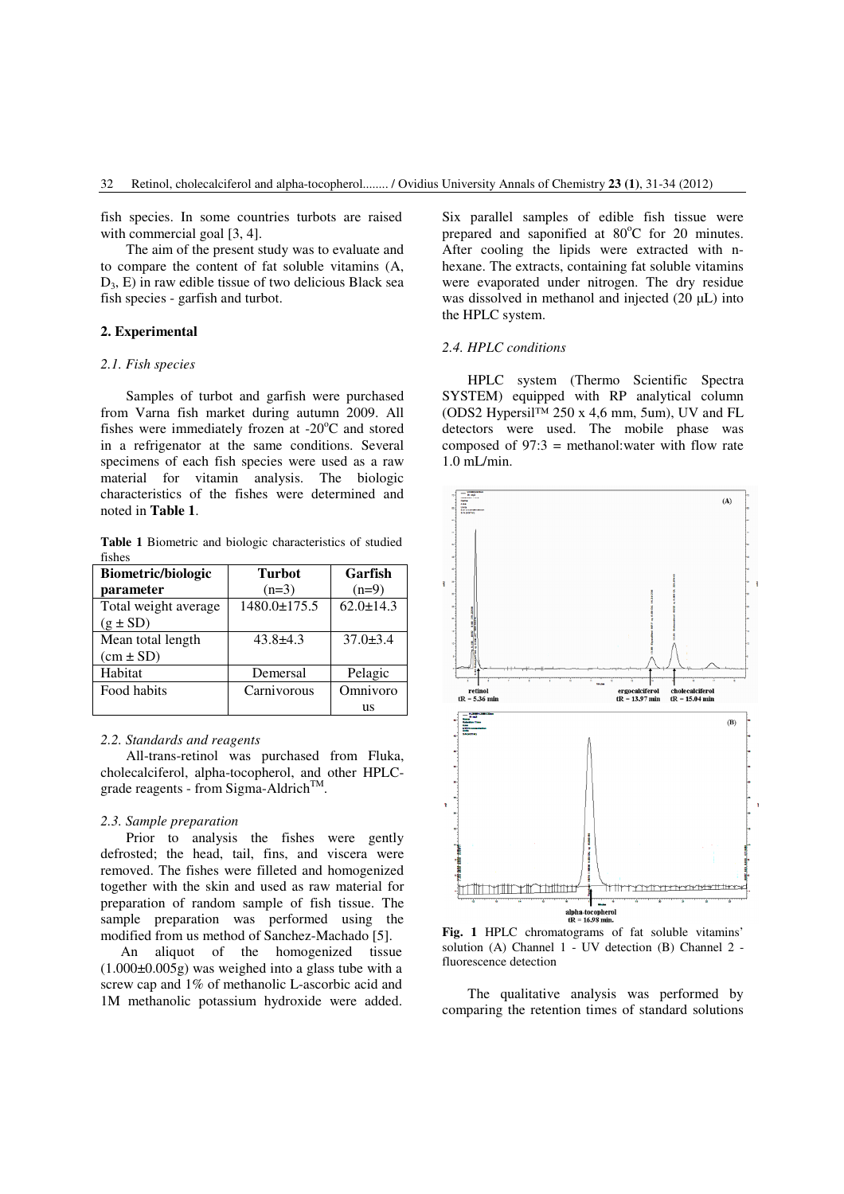fish species. In some countries turbots are raised with commercial goal [3, 4].

The aim of the present study was to evaluate and to compare the content of fat soluble vitamins (A,  $D_3$ , E) in raw edible tissue of two delicious Black sea fish species - garfish and turbot.

# **2. Experimental**

## *2.1. Fish species*

Samples of turbot and garfish were purchased from Varna fish market during autumn 2009. All fishes were immediately frozen at  $-20^{\circ}$ C and stored in a refrigenator at the same conditions. Several specimens of each fish species were used as a raw material for vitamin analysis. The biologic characteristics of the fishes were determined and noted in **Table 1**.

**Table 1** Biometric and biologic characteristics of studied fishes

| <b>Biometric/biologic</b> | <b>Turbot</b>      | Garfish         |
|---------------------------|--------------------|-----------------|
| parameter                 | $(n=3)$            | $(n=9)$         |
| Total weight average      | $1480.0 \pm 175.5$ | $62.0 \pm 14.3$ |
| $(g \pm SD)$              |                    |                 |
| Mean total length         | $43.8 \pm 4.3$     | $37.0 \pm 3.4$  |
| $(cm \pm SD)$             |                    |                 |
| Habitat                   | Demersal           | Pelagic         |
| Food habits               | Carnivorous        | Omnivoro        |
|                           |                    | us              |

## *2.2. Standards and reagents*

All-trans-retinol was purchased from Fluka, cholecalciferol, alpha-tocopherol, and other HPLCgrade reagents - from Sigma-Aldrich<sup>TM</sup>.

## *2.3. Sample preparation*

 Prior to analysis the fishes were gently defrosted; the head, tail, fins, and viscera were removed. The fishes were filleted and homogenized together with the skin and used as raw material for preparation of random sample of fish tissue. The sample preparation was performed using the modified from us method of Sanchez-Machado [5].

An aliquot of the homogenized tissue (1.000±0.005g) was weighed into a glass tube with a screw cap and 1% of methanolic L-ascorbic acid and 1M methanolic potassium hydroxide were added.

Six parallel samples of edible fish tissue were prepared and saponified at  $80^{\circ}$ C for 20 minutes. After cooling the lipids were extracted with nhexane. The extracts, containing fat soluble vitamins were evaporated under nitrogen. The dry residue was dissolved in methanol and injected (20 µL) into the HPLC system.

## *2.4. HPLC conditions*

HPLC system (Thermo Scientific Spectra SYSTEM) equipped with RP analytical column (ODS2 Hypersil™ 250 х 4,6 mm, 5um), UV and FL detectors were used. The mobile phase was composed of  $97:3$  = methanol: water with flow rate 1.0 mL/min.



**Fig. 1** HPLC chromatograms of fat soluble vitamins' solution (A) Channel 1 - UV detection (B) Channel 2 fluorescence detection

The qualitative analysis was performed by comparing the retention times of standard solutions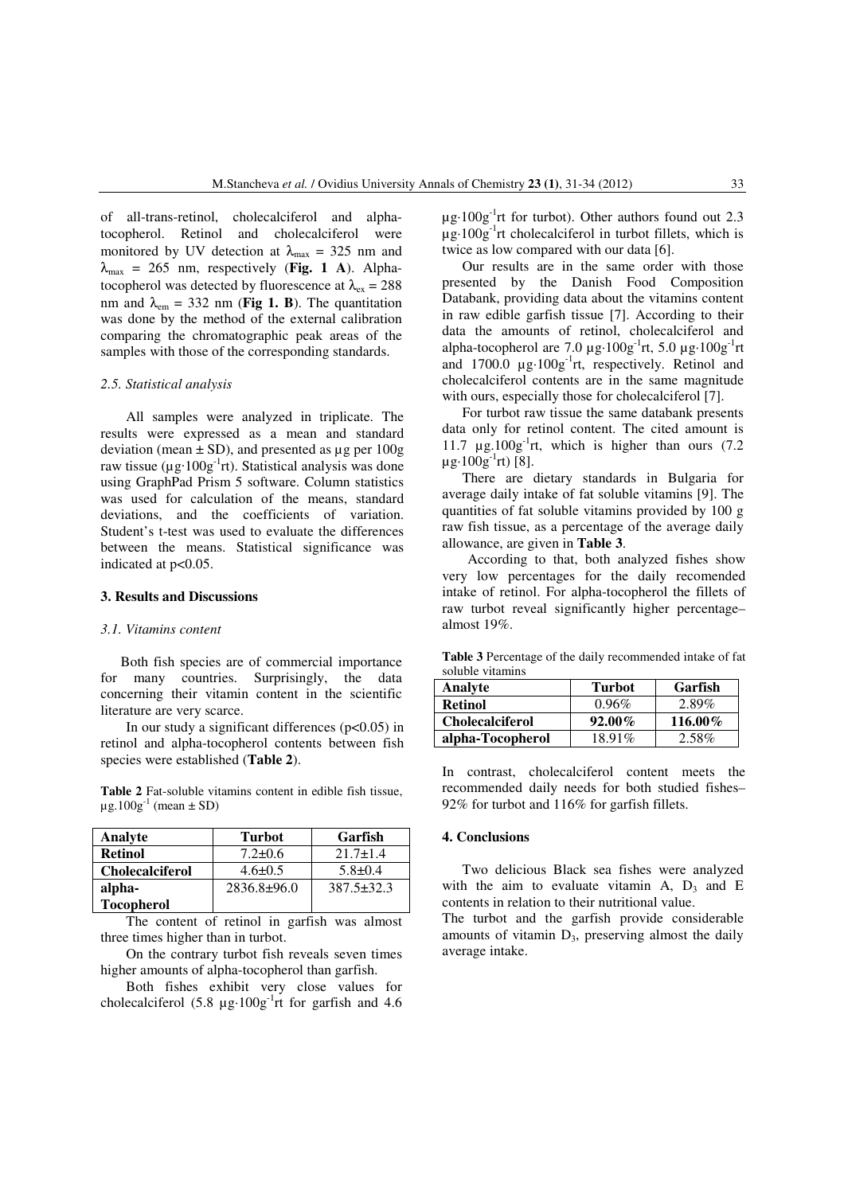of all-trans-retinol, cholecalciferol and alphatocopherol. Retinol and cholecalciferol were monitored by UV detection at  $\lambda_{\text{max}} = 325$  nm and  $\lambda_{\text{max}}$  = 265 nm, respectively (Fig. 1 A). Alphatocopherol was detected by fluorescence at  $\lambda_{ex} = 288$ nm and  $\lambda_{\rm em} = 332$  nm (**Fig 1. B**). The quantitation was done by the method of the external calibration comparing the chromatographic peak areas of the samples with those of the corresponding standards.

#### *2.5. Statistical analysis*

All samples were analyzed in triplicate. The results were expressed as a mean and standard deviation (mean  $\pm$  SD), and presented as  $\mu$ g per 100g raw tissue ( $\mu$ g·100g<sup>-1</sup>rt). Statistical analysis was done using GraphPad Prism 5 software. Column statistics was used for calculation of the means, standard deviations, and the coefficients of variation. Student's t-test was used to evaluate the differences between the means. Statistical significance was indicated at p<0.05.

### **3. Results and Discussions**

## *3.1. Vitamins content*

Both fish species are of commercial importance for many countries. Surprisingly, the data concerning their vitamin content in the scientific literature are very scarce.

In our study a significant differences  $(p<0.05)$  in retinol and alpha-tocopherol contents between fish species were established (**Table 2**).

**Table 2** Fat-soluble vitamins content in edible fish tissue,  $\mu$ g.100g<sup>-1</sup> (mean  $\pm$  SD)

| Analyte                | <b>Turbot</b>     | Garfish          |
|------------------------|-------------------|------------------|
| <b>Retinol</b>         | $7.2 \pm 0.6$     | $21.7 + 1.4$     |
| <b>Cholecalciferol</b> | $4.6 \pm 0.5$     | $5.8 \pm 0.4$    |
| alpha-                 | $2836.8 \pm 96.0$ | $387.5 \pm 32.3$ |
| <b>Tocopherol</b>      |                   |                  |

The content of retinol in garfish was almost three times higher than in turbot.

On the contrary turbot fish reveals seven times higher amounts of alpha-tocopherol than garfish.

Both fishes exhibit very close values for cholecalciferol  $(5.8 \text{ µg} \cdot 100 \text{g}^{-1} \text{rt}$  for garfish and 4.6  $\mu$ g·100g<sup>-1</sup>rt for turbot). Other authors found out 2.3  $\mu$ g·100g<sup>-1</sup>rt cholecalciferol in turbot fillets, which is twice as low compared with our data [6].

Our results are in the same order with those presented by the Danish Food Composition Databank, providing data about the vitamins content in raw edible garfish tissue [7]. According to their data the amounts of retinol, cholecalciferol and alpha-tocopherol are 7.0  $\mu$ g·100g<sup>-1</sup>rt, 5.0  $\mu$ g·100g<sup>-1</sup>rt and  $1700.0 \mu g \cdot 100g^{-1}$ rt, respectively. Retinol and cholecalciferol contents are in the same magnitude with ours, especially those for cholecalciferol [7].

For turbot raw tissue the same databank presents data only for retinol content. The cited amount is 11.7  $\mu$ g.100g<sup>-1</sup>rt, which is higher than ours (7.2)  $\mu$ g·100g<sup>-1</sup>rt) [8].

There are dietary standards in Bulgaria for average daily intake of fat soluble vitamins [9]. The quantities of fat soluble vitamins provided by 100 g raw fish tissue, as a percentage of the average daily allowance, are given in **Table 3**.

 According to that, both analyzed fishes show very low percentages for the daily recomended intake of retinol. For alpha-tocopherol the fillets of raw turbot reveal significantly higher percentage– almost 19%.

**Table 3** Percentage of the daily recommended intake of fat soluble vitamins

| Analyte                | Turbot    | Garfish    |
|------------------------|-----------|------------|
| <b>Retinol</b>         | $0.96\%$  | 2.89%      |
| <b>Cholecalciferol</b> | $92.00\%$ | $116.00\%$ |
| alpha-Tocopherol       | 18.91%    | $2.58\%$   |

In contrast, cholecalciferol content meets the recommended daily needs for both studied fishes– 92% for turbot and 116% for garfish fillets.

## **4. Conclusions**

Two delicious Black sea fishes were analyzed with the aim to evaluate vitamin A,  $D_3$  and E contents in relation to their nutritional value.

The turbot and the garfish provide considerable amounts of vitamin  $D_3$ , preserving almost the daily average intake.